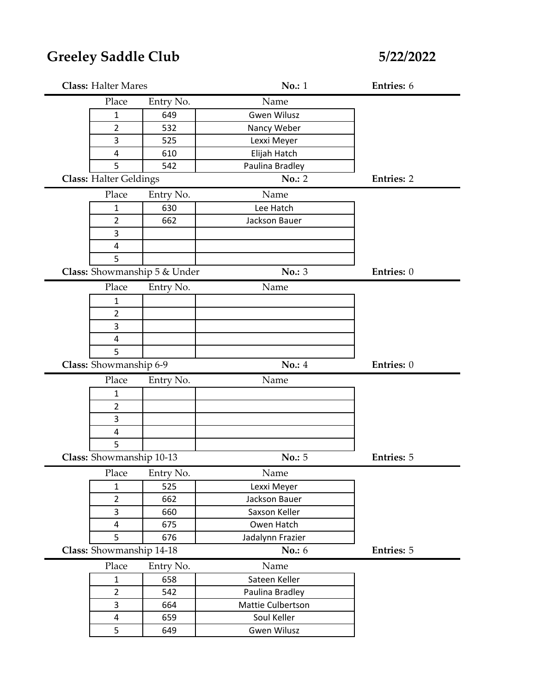# **Greeley Saddle Club**

**5/22/2022**

| <b>Class: Halter Mares</b>    |                              | No.: 1             | Entries: 6        |
|-------------------------------|------------------------------|--------------------|-------------------|
| Place                         | Entry No.                    | Name               |                   |
| $\mathbf{1}$                  | 649                          | <b>Gwen Wilusz</b> |                   |
| 2                             | 532                          | Nancy Weber        |                   |
| 3                             | 525                          | Lexxi Meyer        |                   |
| $\overline{\mathbf{4}}$       | 610                          | Elijah Hatch       |                   |
| 5                             | 542                          | Paulina Bradley    |                   |
| <b>Class: Halter Geldings</b> |                              | No.: 2             | <b>Entries: 2</b> |
| Place                         | Entry No.                    | Name               |                   |
| 1                             | 630                          | Lee Hatch          |                   |
| 2                             | 662                          | Jackson Bauer      |                   |
| 3                             |                              |                    |                   |
| 4                             |                              |                    |                   |
| 5                             |                              |                    |                   |
|                               | Class: Showmanship 5 & Under | No.: 3             | Entries: 0        |
| Place                         | Entry No.                    | Name               |                   |
| 1                             |                              |                    |                   |
| $\overline{2}$                |                              |                    |                   |
| 3                             |                              |                    |                   |
| 4                             |                              |                    |                   |
| 5                             |                              |                    |                   |
| Class: Showmanship 6-9        |                              | No.: 4             |                   |
|                               |                              |                    | Entries: 0        |
| Place                         | Entry No.                    | Name               |                   |
| $\mathbf{1}$                  |                              |                    |                   |
| $\overline{2}$                |                              |                    |                   |
| 3                             |                              |                    |                   |
| $\overline{\mathbf{4}}$       |                              |                    |                   |
| 5                             |                              |                    |                   |
| Class: Showmanship 10-13      |                              | No.: 5             | <b>Entries: 5</b> |
| Place                         | Entry No.                    | Name               |                   |
| $\mathbf{1}$                  | 525                          | Lexxi Meyer        |                   |
| $\overline{2}$                | 662                          | Jackson Bauer      |                   |
| 3                             | 660                          | Saxson Keller      |                   |
| $\overline{4}$                | 675                          | Owen Hatch         |                   |
| 5                             | 676                          | Jadalynn Frazier   |                   |
| Class: Showmanship 14-18      |                              | No.: 6             | <b>Entries: 5</b> |
| Place                         | Entry No.                    | Name               |                   |
| $\mathbf{1}$                  | 658                          | Sateen Keller      |                   |
| $\overline{2}$                | 542                          | Paulina Bradley    |                   |
| 3                             | 664                          | Mattie Culbertson  |                   |
| 4                             | 659                          | Soul Keller        |                   |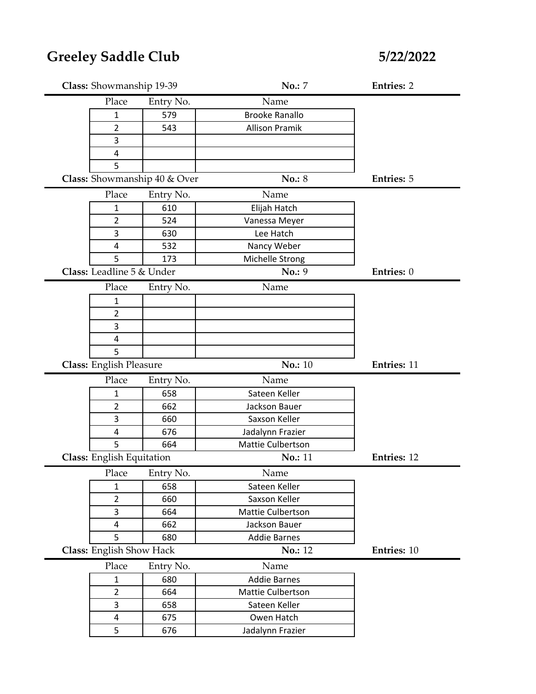| Class: Showmanship 19-39       |                              | No.: 7                | <b>Entries: 2</b>  |
|--------------------------------|------------------------------|-----------------------|--------------------|
| Place                          | Entry No.                    | Name                  |                    |
| 1                              | 579                          | <b>Brooke Ranallo</b> |                    |
| 2                              | 543                          | <b>Allison Pramik</b> |                    |
| 3                              |                              |                       |                    |
| 4                              |                              |                       |                    |
| 5                              |                              |                       |                    |
|                                | Class: Showmanship 40 & Over | <b>No.: 8</b>         | <b>Entries: 5</b>  |
| Place                          | Entry No.                    | Name                  |                    |
| 1                              | 610                          | Elijah Hatch          |                    |
| 2                              | 524                          | Vanessa Meyer         |                    |
| 3                              | 630                          | Lee Hatch             |                    |
| 4                              | 532                          | Nancy Weber           |                    |
| 5                              | 173                          | Michelle Strong       |                    |
| Class: Leadline 5 & Under      |                              | No.: 9                | Entries: 0         |
| Place                          | Entry No.                    | Name                  |                    |
| $\mathbf{1}$                   |                              |                       |                    |
| 2                              |                              |                       |                    |
| 3                              |                              |                       |                    |
| 4                              |                              |                       |                    |
| 5                              |                              |                       |                    |
|                                |                              |                       |                    |
| <b>Class: English Pleasure</b> |                              | <b>No.: 10</b>        | <b>Entries: 11</b> |
| Place                          | Entry No.                    | Name                  |                    |
| 1                              | 658                          | Sateen Keller         |                    |
| $\overline{2}$                 | 662                          | Jackson Bauer         |                    |
| 3                              | 660                          | Saxson Keller         |                    |
| 4                              | 676                          | Jadalynn Frazier      |                    |
| 5                              | 664                          | Mattie Culbertson     |                    |
| Class: English Equitation      |                              | No.: 11               | Entries: 12        |
|                                | Place Entry No.              | Name                  |                    |
| 1                              | 658                          | Sateen Keller         |                    |
| $\overline{2}$                 | 660                          | Saxson Keller         |                    |
| 3                              | 664                          | Mattie Culbertson     |                    |
| 4                              | 662                          | Jackson Bauer         |                    |
| 5                              | 680                          | <b>Addie Barnes</b>   |                    |
| Class: English Show Hack       |                              | No.: 12               | Entries: 10        |
| Place                          | Entry No.                    | Name                  |                    |
| $\mathbf{1}$                   | 680                          | <b>Addie Barnes</b>   |                    |
| $\overline{2}$                 | 664                          | Mattie Culbertson     |                    |
| 3                              | 658                          | Sateen Keller         |                    |
| $\overline{\mathbf{4}}$<br>5   | 675                          | Owen Hatch            |                    |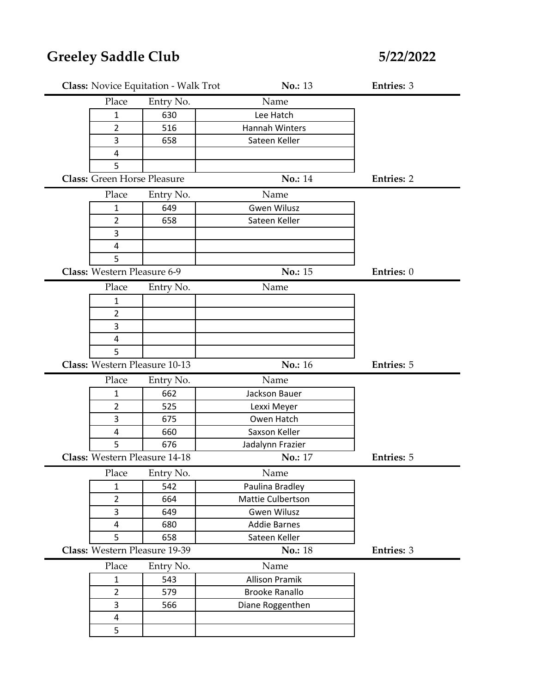|                                    | Class: Novice Equitation - Walk Trot | No.: 13               | <b>Entries: 3</b> |
|------------------------------------|--------------------------------------|-----------------------|-------------------|
| Place                              | Entry No.                            | Name                  |                   |
| 1                                  | 630                                  | Lee Hatch             |                   |
| $\overline{2}$                     | 516                                  | Hannah Winters        |                   |
| 3                                  | 658                                  | Sateen Keller         |                   |
| 4                                  |                                      |                       |                   |
| 5                                  |                                      |                       |                   |
| <b>Class: Green Horse Pleasure</b> |                                      | No.: 14               | <b>Entries: 2</b> |
| Place                              | Entry No.                            | Name                  |                   |
| $\mathbf{1}$                       | 649                                  | <b>Gwen Wilusz</b>    |                   |
| $\overline{2}$                     | 658                                  | Sateen Keller         |                   |
| 3                                  |                                      |                       |                   |
| $\overline{\mathbf{4}}$            |                                      |                       |                   |
| 5                                  |                                      |                       |                   |
| Class: Western Pleasure 6-9        |                                      | No.: 15               | Entries: 0        |
| Place                              | Entry No.                            | Name                  |                   |
| 1                                  |                                      |                       |                   |
| $\overline{2}$                     |                                      |                       |                   |
| 3                                  |                                      |                       |                   |
| 4                                  |                                      |                       |                   |
| 5                                  |                                      |                       |                   |
|                                    |                                      |                       |                   |
| Class: Western Pleasure 10-13      |                                      | No.: 16               | <b>Entries: 5</b> |
| Place                              | Entry No.                            | Name                  |                   |
| 1                                  | 662                                  | Jackson Bauer         |                   |
| $\overline{2}$                     | 525                                  | Lexxi Meyer           |                   |
| 3                                  | 675                                  | Owen Hatch            |                   |
| 4                                  | 660                                  | Saxson Keller         |                   |
| 5                                  | 676                                  | Jadalynn Frazier      |                   |
| Class: Western Pleasure 14-18      |                                      | No.: 17               | <b>Entries: 5</b> |
| Place                              | Entry No.                            | Name                  |                   |
| $\mathbf{1}$                       | 542                                  | Paulina Bradley       |                   |
| $\overline{2}$                     | 664                                  | Mattie Culbertson     |                   |
| 3                                  | 649                                  | <b>Gwen Wilusz</b>    |                   |
| 4                                  | 680                                  | <b>Addie Barnes</b>   |                   |
| 5                                  | 658                                  | Sateen Keller         |                   |
| Class: Western Pleasure 19-39      |                                      | <b>No.: 18</b>        | <b>Entries: 3</b> |
| Place                              | Entry No.                            | Name                  |                   |
| $\mathbf 1$                        | 543                                  | <b>Allison Pramik</b> |                   |
| $\overline{2}$                     | 579                                  | <b>Brooke Ranallo</b> |                   |
| 3                                  | 566                                  | Diane Roggenthen      |                   |
| $\overline{4}$<br>5                |                                      |                       |                   |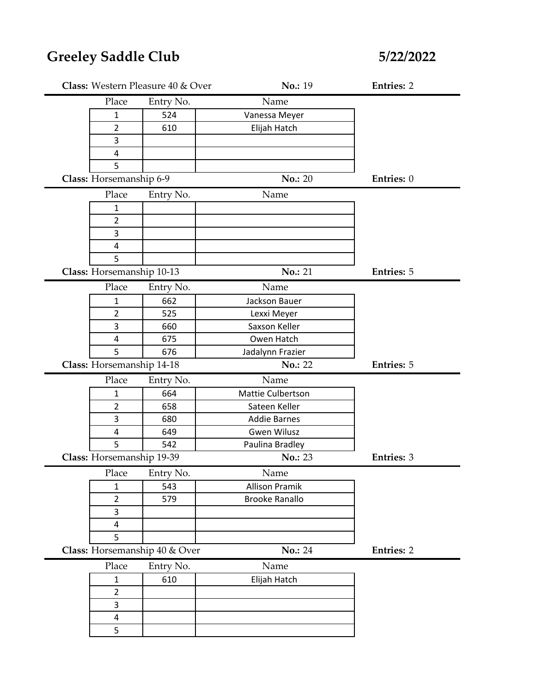| Class: Western Pleasure 40 & Over |                               | No.: 19               | <b>Entries: 2</b> |
|-----------------------------------|-------------------------------|-----------------------|-------------------|
| Place                             | Entry No.                     | Name                  |                   |
| $\mathbf{1}$                      | 524                           | Vanessa Meyer         |                   |
| $\overline{2}$                    | 610                           | Elijah Hatch          |                   |
| 3                                 |                               |                       |                   |
| 4                                 |                               |                       |                   |
| 5                                 |                               |                       |                   |
| Class: Horsemanship 6-9           |                               | <b>No.: 20</b>        | Entries: 0        |
| Place                             | Entry No.                     | Name                  |                   |
| $\mathbf 1$                       |                               |                       |                   |
| $\overline{2}$                    |                               |                       |                   |
| 3                                 |                               |                       |                   |
| 4                                 |                               |                       |                   |
| 5                                 |                               |                       |                   |
| Class: Horsemanship 10-13         |                               | No.: 21               | <b>Entries: 5</b> |
| Place                             | Entry No.                     | Name                  |                   |
| $\mathbf{1}$                      | 662                           | Jackson Bauer         |                   |
| $\overline{2}$                    | 525                           | Lexxi Meyer           |                   |
| 3                                 | 660                           | Saxson Keller         |                   |
| 4                                 | 675                           | Owen Hatch            |                   |
| 5                                 | 676                           | Jadalynn Frazier      |                   |
| Class: Horsemanship 14-18         |                               | No.: 22               | <b>Entries: 5</b> |
| Place                             | Entry No.                     | Name                  |                   |
| $\mathbf{1}$                      | 664                           | Mattie Culbertson     |                   |
| $\overline{2}$                    | 658                           | Sateen Keller         |                   |
| 3                                 | 680                           | <b>Addie Barnes</b>   |                   |
| 4                                 | 649                           | <b>Gwen Wilusz</b>    |                   |
| 5                                 | 542                           | Paulina Bradley       |                   |
| Class: Horsemanship 19-39         |                               | No.: 23               | <b>Entries: 3</b> |
| Place                             | Entry No.                     | Name                  |                   |
| $\mathbf{1}$                      | 543                           | <b>Allison Pramik</b> |                   |
| $\overline{2}$                    | 579                           | <b>Brooke Ranallo</b> |                   |
| $\overline{3}$                    |                               |                       |                   |
| 4                                 |                               |                       |                   |
| 5                                 |                               |                       |                   |
|                                   | Class: Horsemanship 40 & Over | No.: 24               | <b>Entries: 2</b> |
| Place                             | Entry No.                     | Name                  |                   |
| $\mathbf 1$                       | 610                           | Elijah Hatch          |                   |
| $\overline{2}$                    |                               |                       |                   |
| $\overline{3}$                    |                               |                       |                   |
| $\overline{\mathbf{4}}$           |                               |                       |                   |
| 5                                 |                               |                       |                   |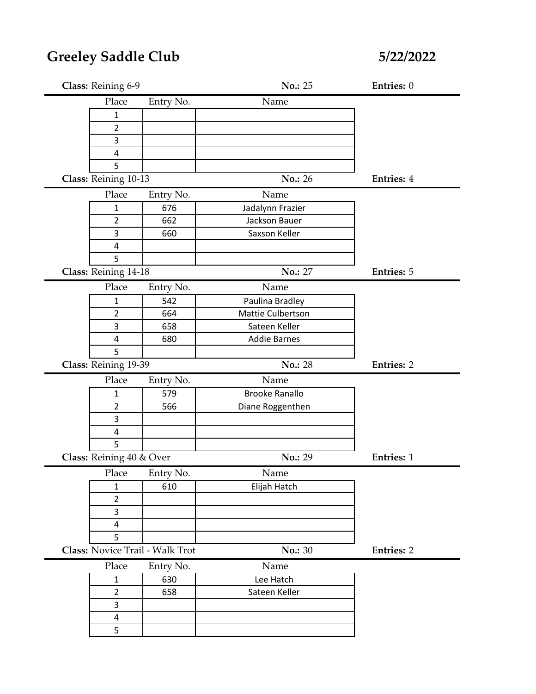| Class: Reining 6-9       |                                 | No.: 25               | Entries: 0        |
|--------------------------|---------------------------------|-----------------------|-------------------|
| Place                    | Entry No.                       | Name                  |                   |
| 1                        |                                 |                       |                   |
| $\overline{2}$           |                                 |                       |                   |
| 3                        |                                 |                       |                   |
| 4                        |                                 |                       |                   |
| 5                        |                                 |                       |                   |
| Class: Reining 10-13     |                                 | <b>No.: 26</b>        | <b>Entries: 4</b> |
| Place                    | Entry No.                       | Name                  |                   |
| $\mathbf{1}$             | 676                             | Jadalynn Frazier      |                   |
| $\overline{2}$           | 662                             | Jackson Bauer         |                   |
| 3                        | 660                             | Saxson Keller         |                   |
| 4                        |                                 |                       |                   |
| 5                        |                                 |                       |                   |
| Class: Reining 14-18     |                                 | No.: 27               | <b>Entries: 5</b> |
| Place                    | Entry No.                       | Name                  |                   |
| $\mathbf{1}$             | 542                             | Paulina Bradley       |                   |
| $\overline{2}$           | 664                             | Mattie Culbertson     |                   |
| 3                        | 658                             | Sateen Keller         |                   |
| 4                        | 680                             | <b>Addie Barnes</b>   |                   |
| 5                        |                                 |                       |                   |
| Class: Reining 19-39     |                                 | No.: 28               | <b>Entries: 2</b> |
| Place                    | Entry No.                       | Name                  |                   |
| $\mathbf{1}$             | 579                             | <b>Brooke Ranallo</b> |                   |
|                          |                                 |                       |                   |
| $\overline{2}$           | 566                             | Diane Roggenthen      |                   |
| 3                        |                                 |                       |                   |
| 4                        |                                 |                       |                   |
| 5                        |                                 |                       |                   |
| Class: Reining 40 & Over |                                 | No.: 29               | <b>Entries: 1</b> |
| Place                    | Entry No.                       | Name                  |                   |
| $\mathbf{1}$             | 610                             | Elijah Hatch          |                   |
| $\overline{2}$           |                                 |                       |                   |
| 3                        |                                 |                       |                   |
| 4                        |                                 |                       |                   |
| 5                        |                                 |                       |                   |
|                          | Class: Novice Trail - Walk Trot | <b>No.: 30</b>        | <b>Entries: 2</b> |
| Place                    | Entry No.                       | Name                  |                   |
| $\mathbf{1}$             | 630                             | Lee Hatch             |                   |
| $\overline{2}$           | 658                             | Sateen Keller         |                   |
| 3                        |                                 |                       |                   |
| 4<br>5                   |                                 |                       |                   |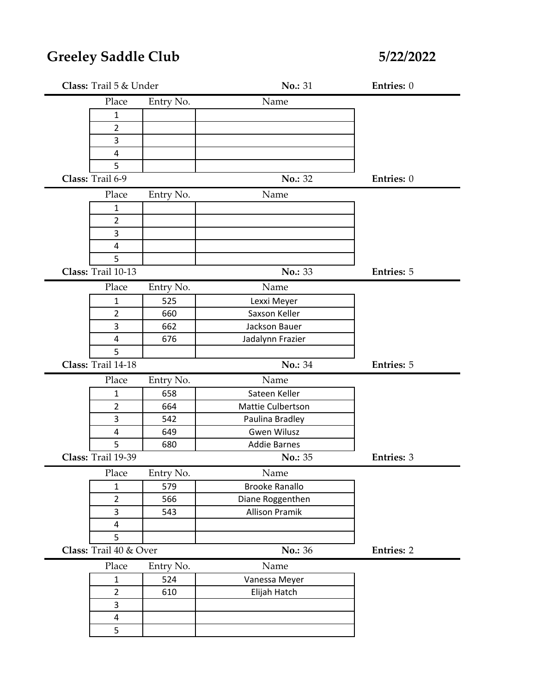| Entry No.<br>Name<br>Place<br>$\mathbf{1}$<br>$\overline{2}$<br>3<br>4<br>5<br>Class: Trail 6-9<br>No.: 32<br>Entries: 0<br>Place<br>Name<br>Entry No.<br>$\mathbf{1}$<br>$\overline{2}$<br>3<br>4<br>5<br>Class: Trail 10-13<br>No.: 33<br><b>Entries: 5</b><br>Entry No.<br>Name<br>Place<br>525<br>1<br>Lexxi Meyer<br>Saxson Keller<br>$\overline{2}$<br>660<br>3<br>662<br>Jackson Bauer<br>4<br>676<br>Jadalynn Frazier<br>5<br>Class: Trail 14-18<br>No.: 34<br><b>Entries: 5</b><br>Entry No.<br>Name<br>Place<br>658<br>Sateen Keller<br>$\mathbf{1}$<br>$\overline{2}$<br>664<br>Mattie Culbertson<br>3<br>542<br>Paulina Bradley<br><b>Gwen Wilusz</b><br>4<br>649<br>5<br><b>Addie Barnes</b><br>680<br>Class: Trail 19-39<br>No.: 35<br><b>Entries: 3</b><br>Entry No.<br>Name<br>Place<br>$\mathbf{1}$<br>579<br><b>Brooke Ranallo</b><br>$\overline{2}$<br>Diane Roggenthen<br>566<br>$\overline{3}$<br><b>Allison Pramik</b><br>543<br>4<br>5<br>Class: Trail 40 & Over<br>No.: 36<br><b>Entries: 2</b><br>Place<br>Entry No.<br>Name<br>524<br>Vanessa Meyer<br>$\mathbf{1}$<br>$\overline{2}$<br>Elijah Hatch<br>610<br>3<br>$\overline{\mathbf{4}}$<br>5 | Class: Trail 5 & Under |  | No.: 31 | Entries: 0 |
|-----------------------------------------------------------------------------------------------------------------------------------------------------------------------------------------------------------------------------------------------------------------------------------------------------------------------------------------------------------------------------------------------------------------------------------------------------------------------------------------------------------------------------------------------------------------------------------------------------------------------------------------------------------------------------------------------------------------------------------------------------------------------------------------------------------------------------------------------------------------------------------------------------------------------------------------------------------------------------------------------------------------------------------------------------------------------------------------------------------------------------------------------------------------------------|------------------------|--|---------|------------|
|                                                                                                                                                                                                                                                                                                                                                                                                                                                                                                                                                                                                                                                                                                                                                                                                                                                                                                                                                                                                                                                                                                                                                                             |                        |  |         |            |
|                                                                                                                                                                                                                                                                                                                                                                                                                                                                                                                                                                                                                                                                                                                                                                                                                                                                                                                                                                                                                                                                                                                                                                             |                        |  |         |            |
|                                                                                                                                                                                                                                                                                                                                                                                                                                                                                                                                                                                                                                                                                                                                                                                                                                                                                                                                                                                                                                                                                                                                                                             |                        |  |         |            |
|                                                                                                                                                                                                                                                                                                                                                                                                                                                                                                                                                                                                                                                                                                                                                                                                                                                                                                                                                                                                                                                                                                                                                                             |                        |  |         |            |
|                                                                                                                                                                                                                                                                                                                                                                                                                                                                                                                                                                                                                                                                                                                                                                                                                                                                                                                                                                                                                                                                                                                                                                             |                        |  |         |            |
|                                                                                                                                                                                                                                                                                                                                                                                                                                                                                                                                                                                                                                                                                                                                                                                                                                                                                                                                                                                                                                                                                                                                                                             |                        |  |         |            |
|                                                                                                                                                                                                                                                                                                                                                                                                                                                                                                                                                                                                                                                                                                                                                                                                                                                                                                                                                                                                                                                                                                                                                                             |                        |  |         |            |
|                                                                                                                                                                                                                                                                                                                                                                                                                                                                                                                                                                                                                                                                                                                                                                                                                                                                                                                                                                                                                                                                                                                                                                             |                        |  |         |            |
|                                                                                                                                                                                                                                                                                                                                                                                                                                                                                                                                                                                                                                                                                                                                                                                                                                                                                                                                                                                                                                                                                                                                                                             |                        |  |         |            |
|                                                                                                                                                                                                                                                                                                                                                                                                                                                                                                                                                                                                                                                                                                                                                                                                                                                                                                                                                                                                                                                                                                                                                                             |                        |  |         |            |
|                                                                                                                                                                                                                                                                                                                                                                                                                                                                                                                                                                                                                                                                                                                                                                                                                                                                                                                                                                                                                                                                                                                                                                             |                        |  |         |            |
|                                                                                                                                                                                                                                                                                                                                                                                                                                                                                                                                                                                                                                                                                                                                                                                                                                                                                                                                                                                                                                                                                                                                                                             |                        |  |         |            |
|                                                                                                                                                                                                                                                                                                                                                                                                                                                                                                                                                                                                                                                                                                                                                                                                                                                                                                                                                                                                                                                                                                                                                                             |                        |  |         |            |
|                                                                                                                                                                                                                                                                                                                                                                                                                                                                                                                                                                                                                                                                                                                                                                                                                                                                                                                                                                                                                                                                                                                                                                             |                        |  |         |            |
|                                                                                                                                                                                                                                                                                                                                                                                                                                                                                                                                                                                                                                                                                                                                                                                                                                                                                                                                                                                                                                                                                                                                                                             |                        |  |         |            |
|                                                                                                                                                                                                                                                                                                                                                                                                                                                                                                                                                                                                                                                                                                                                                                                                                                                                                                                                                                                                                                                                                                                                                                             |                        |  |         |            |
|                                                                                                                                                                                                                                                                                                                                                                                                                                                                                                                                                                                                                                                                                                                                                                                                                                                                                                                                                                                                                                                                                                                                                                             |                        |  |         |            |
|                                                                                                                                                                                                                                                                                                                                                                                                                                                                                                                                                                                                                                                                                                                                                                                                                                                                                                                                                                                                                                                                                                                                                                             |                        |  |         |            |
|                                                                                                                                                                                                                                                                                                                                                                                                                                                                                                                                                                                                                                                                                                                                                                                                                                                                                                                                                                                                                                                                                                                                                                             |                        |  |         |            |
|                                                                                                                                                                                                                                                                                                                                                                                                                                                                                                                                                                                                                                                                                                                                                                                                                                                                                                                                                                                                                                                                                                                                                                             |                        |  |         |            |
|                                                                                                                                                                                                                                                                                                                                                                                                                                                                                                                                                                                                                                                                                                                                                                                                                                                                                                                                                                                                                                                                                                                                                                             |                        |  |         |            |
|                                                                                                                                                                                                                                                                                                                                                                                                                                                                                                                                                                                                                                                                                                                                                                                                                                                                                                                                                                                                                                                                                                                                                                             |                        |  |         |            |
|                                                                                                                                                                                                                                                                                                                                                                                                                                                                                                                                                                                                                                                                                                                                                                                                                                                                                                                                                                                                                                                                                                                                                                             |                        |  |         |            |
|                                                                                                                                                                                                                                                                                                                                                                                                                                                                                                                                                                                                                                                                                                                                                                                                                                                                                                                                                                                                                                                                                                                                                                             |                        |  |         |            |
|                                                                                                                                                                                                                                                                                                                                                                                                                                                                                                                                                                                                                                                                                                                                                                                                                                                                                                                                                                                                                                                                                                                                                                             |                        |  |         |            |
|                                                                                                                                                                                                                                                                                                                                                                                                                                                                                                                                                                                                                                                                                                                                                                                                                                                                                                                                                                                                                                                                                                                                                                             |                        |  |         |            |
|                                                                                                                                                                                                                                                                                                                                                                                                                                                                                                                                                                                                                                                                                                                                                                                                                                                                                                                                                                                                                                                                                                                                                                             |                        |  |         |            |
|                                                                                                                                                                                                                                                                                                                                                                                                                                                                                                                                                                                                                                                                                                                                                                                                                                                                                                                                                                                                                                                                                                                                                                             |                        |  |         |            |
|                                                                                                                                                                                                                                                                                                                                                                                                                                                                                                                                                                                                                                                                                                                                                                                                                                                                                                                                                                                                                                                                                                                                                                             |                        |  |         |            |
|                                                                                                                                                                                                                                                                                                                                                                                                                                                                                                                                                                                                                                                                                                                                                                                                                                                                                                                                                                                                                                                                                                                                                                             |                        |  |         |            |
|                                                                                                                                                                                                                                                                                                                                                                                                                                                                                                                                                                                                                                                                                                                                                                                                                                                                                                                                                                                                                                                                                                                                                                             |                        |  |         |            |
|                                                                                                                                                                                                                                                                                                                                                                                                                                                                                                                                                                                                                                                                                                                                                                                                                                                                                                                                                                                                                                                                                                                                                                             |                        |  |         |            |
|                                                                                                                                                                                                                                                                                                                                                                                                                                                                                                                                                                                                                                                                                                                                                                                                                                                                                                                                                                                                                                                                                                                                                                             |                        |  |         |            |
|                                                                                                                                                                                                                                                                                                                                                                                                                                                                                                                                                                                                                                                                                                                                                                                                                                                                                                                                                                                                                                                                                                                                                                             |                        |  |         |            |
|                                                                                                                                                                                                                                                                                                                                                                                                                                                                                                                                                                                                                                                                                                                                                                                                                                                                                                                                                                                                                                                                                                                                                                             |                        |  |         |            |
|                                                                                                                                                                                                                                                                                                                                                                                                                                                                                                                                                                                                                                                                                                                                                                                                                                                                                                                                                                                                                                                                                                                                                                             |                        |  |         |            |
|                                                                                                                                                                                                                                                                                                                                                                                                                                                                                                                                                                                                                                                                                                                                                                                                                                                                                                                                                                                                                                                                                                                                                                             |                        |  |         |            |
|                                                                                                                                                                                                                                                                                                                                                                                                                                                                                                                                                                                                                                                                                                                                                                                                                                                                                                                                                                                                                                                                                                                                                                             |                        |  |         |            |
|                                                                                                                                                                                                                                                                                                                                                                                                                                                                                                                                                                                                                                                                                                                                                                                                                                                                                                                                                                                                                                                                                                                                                                             |                        |  |         |            |
|                                                                                                                                                                                                                                                                                                                                                                                                                                                                                                                                                                                                                                                                                                                                                                                                                                                                                                                                                                                                                                                                                                                                                                             |                        |  |         |            |
|                                                                                                                                                                                                                                                                                                                                                                                                                                                                                                                                                                                                                                                                                                                                                                                                                                                                                                                                                                                                                                                                                                                                                                             |                        |  |         |            |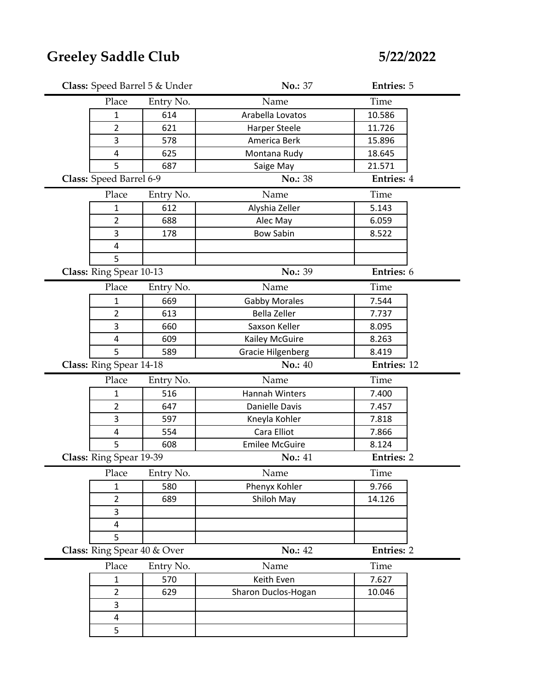| Class: Speed Barrel 5 & Under |                  | No.: 37                  | <b>Entries: 5</b> |  |
|-------------------------------|------------------|--------------------------|-------------------|--|
| Place                         | Entry No.        | Name                     | Time              |  |
| 1                             | 614              | Arabella Lovatos         | 10.586            |  |
| 2                             | 621              | <b>Harper Steele</b>     | 11.726            |  |
| 3                             | 578              | America Berk             | 15.896            |  |
| 4                             | 625              | Montana Rudy             | 18.645            |  |
| 5                             | 687              | Saige May                | 21.571            |  |
| Class: Speed Barrel 6-9       |                  | No.: 38                  | <b>Entries: 4</b> |  |
| Place                         | Entry No.        | Name                     | Time              |  |
| $\mathbf{1}$                  | 612              | Alyshia Zeller           | 5.143             |  |
| $\overline{2}$                | 688              | Alec May                 | 6.059             |  |
| 3                             | 178              | <b>Bow Sabin</b>         | 8.522             |  |
| $\overline{\mathbf{4}}$       |                  |                          |                   |  |
| 5                             |                  |                          |                   |  |
| Class: Ring Spear 10-13       |                  | No.: 39                  | Entries: 6        |  |
| Place                         | Entry No.        | Name                     | Time              |  |
| 1                             | 669              | <b>Gabby Morales</b>     | 7.544             |  |
| $\overline{2}$                | 613              | <b>Bella Zeller</b>      | 7.737             |  |
| 3                             | 660              | Saxson Keller            | 8.095             |  |
| 4                             | 609              | Kailey McGuire           | 8.263             |  |
| 5                             | 589              | <b>Gracie Hilgenberg</b> | 8.419             |  |
|                               |                  |                          |                   |  |
| Class: Ring Spear 14-18       |                  | <b>No.: 40</b>           | Entries: 12       |  |
| Place                         |                  | Name                     | Time              |  |
| $\mathbf{1}$                  | Entry No.<br>516 | <b>Hannah Winters</b>    | 7.400             |  |
| $\overline{2}$                | 647              | Danielle Davis           | 7.457             |  |
| 3                             | 597              | Kneyla Kohler            | 7.818             |  |
| $\overline{\mathbf{4}}$       | 554              | Cara Elliot              | 7.866             |  |
| 5                             | 608              | <b>Emilee McGuire</b>    | 8.124             |  |
| Class: Ring Spear 19-39       |                  | No.: 41                  | <b>Entries: 2</b> |  |
| Place                         | Entry No.        | Name                     | Time              |  |
| $\mathbf{1}$                  | 580              | Phenyx Kohler            | 9.766             |  |
| $\overline{2}$                | 689              | Shiloh May               | 14.126            |  |
| 3                             |                  |                          |                   |  |
| 4                             |                  |                          |                   |  |
| 5                             |                  |                          |                   |  |
| Class: Ring Spear 40 & Over   |                  | No.: 42                  | <b>Entries: 2</b> |  |
| Place                         | Entry No.        | Name                     | Time              |  |
| 1                             | 570              | Keith Even               | 7.627             |  |
| $\overline{2}$                | 629              | Sharon Duclos-Hogan      | 10.046            |  |
| 3                             |                  |                          |                   |  |
| 4                             |                  |                          |                   |  |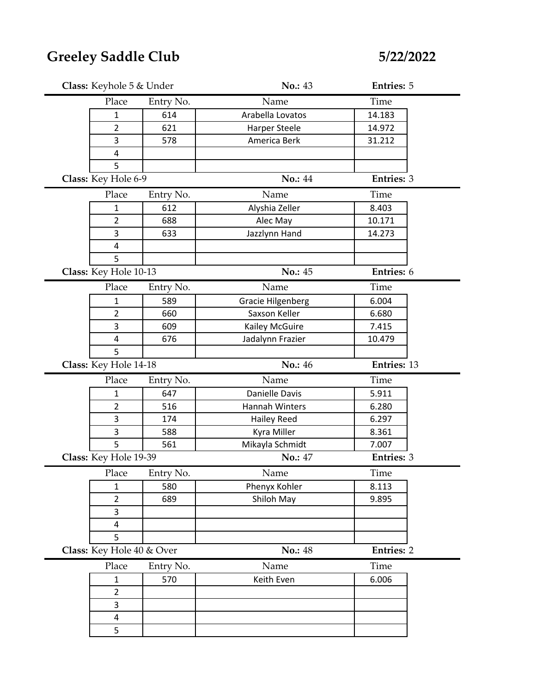| Class: Keyhole 5 & Under     |           | No.: 43                  | <b>Entries: 5</b> |  |
|------------------------------|-----------|--------------------------|-------------------|--|
| Place                        | Entry No. | Name                     | Time              |  |
| 1                            | 614       | Arabella Lovatos         | 14.183            |  |
| 2                            | 621       | <b>Harper Steele</b>     | 14.972            |  |
| 3                            | 578       | America Berk             | 31.212            |  |
| $\overline{4}$               |           |                          |                   |  |
| 5                            |           |                          |                   |  |
| Class: Key Hole 6-9          |           | <b>No.: 44</b>           | <b>Entries: 3</b> |  |
| Place                        | Entry No. | Name                     | Time              |  |
| 1                            | 612       | Alyshia Zeller           | 8.403             |  |
| $\overline{2}$               | 688       | Alec May                 | 10.171            |  |
| 3                            | 633       | Jazzlynn Hand            | 14.273            |  |
| 4                            |           |                          |                   |  |
| 5                            |           |                          |                   |  |
| Class: Key Hole 10-13        |           | No.: 45                  | Entries: 6        |  |
| Place                        | Entry No. | Name                     | Time              |  |
| 1                            | 589       | <b>Gracie Hilgenberg</b> | 6.004             |  |
| $\overline{2}$               | 660       | Saxson Keller            | 6.680             |  |
| 3                            | 609       | Kailey McGuire           | 7.415             |  |
| 4                            | 676       | Jadalynn Frazier         | 10.479            |  |
| 5                            |           |                          |                   |  |
| Class: Key Hole 14-18        |           | No.: 46                  | Entries: 13       |  |
|                              |           | Name                     |                   |  |
| Place                        | Entry No. |                          | Time              |  |
| 1                            | 647       | Danielle Davis           | 5.911             |  |
| $\overline{2}$               | 516       | Hannah Winters           | 6.280             |  |
| 3                            | 174       | <b>Hailey Reed</b>       | 6.297             |  |
| 3                            | 588       | Kyra Miller              | 8.361             |  |
| 5                            | 561       | Mikayla Schmidt          | 7.007             |  |
| Class: Key Hole 19-39        |           | <b>No.: 47</b>           | <b>Entries: 3</b> |  |
| Place                        | Entry No. | Name                     | Time              |  |
| 1                            | 580       | Phenyx Kohler            | 8.113             |  |
| $\overline{2}$               | 689       | Shiloh May               | 9.895             |  |
| $\overline{3}$               |           |                          |                   |  |
| 4                            |           |                          |                   |  |
| 5                            |           |                          |                   |  |
| Class: Key Hole 40 & Over    |           | <b>No.: 48</b>           | <b>Entries: 2</b> |  |
| Place                        | Entry No. | Name                     | Time              |  |
| $\mathbf{1}$                 | 570       | Keith Even               | 6.006             |  |
| $\overline{2}$               |           |                          |                   |  |
| 3                            |           |                          |                   |  |
| $\overline{\mathbf{4}}$<br>5 |           |                          |                   |  |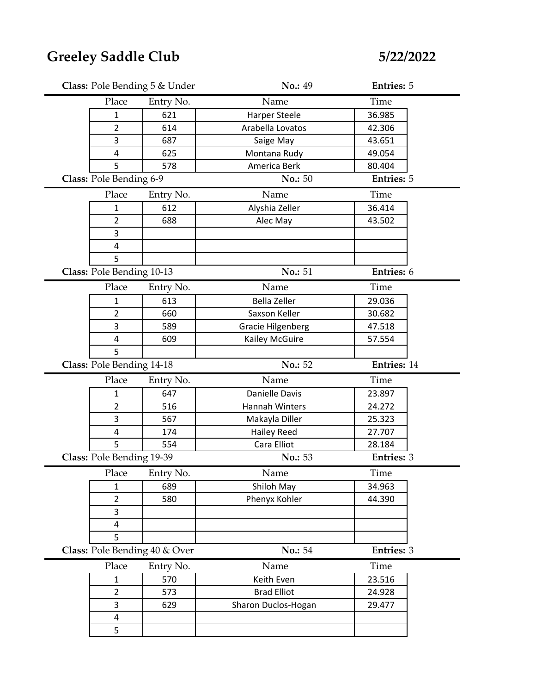| Class: Pole Bending 5 & Under |                               | No.: 49                  | <b>Entries: 5</b> |  |
|-------------------------------|-------------------------------|--------------------------|-------------------|--|
| Place                         | Entry No.                     | Name                     | Time              |  |
| 1                             | 621                           | <b>Harper Steele</b>     | 36.985            |  |
| 2                             | 614                           | Arabella Lovatos         | 42.306            |  |
| 3                             | 687                           | Saige May                | 43.651            |  |
| $\overline{4}$                | 625                           | Montana Rudy             | 49.054            |  |
| 5                             | 578                           | America Berk             | 80.404            |  |
| Class: Pole Bending 6-9       |                               | No.: 50                  | <b>Entries: 5</b> |  |
| Place                         | Entry No.                     | Name                     | Time              |  |
| 1                             | 612                           | Alyshia Zeller           | 36.414            |  |
| 2                             | 688                           | Alec May                 | 43.502            |  |
| 3                             |                               |                          |                   |  |
| 4                             |                               |                          |                   |  |
| 5                             |                               |                          |                   |  |
| Class: Pole Bending 10-13     |                               | No.: 51                  | Entries: 6        |  |
| Place                         | Entry No.                     | Name                     | Time              |  |
| 1                             | 613                           | <b>Bella Zeller</b>      | 29.036            |  |
| $\overline{2}$                | 660                           | Saxson Keller            | 30.682            |  |
| 3                             | 589                           | <b>Gracie Hilgenberg</b> | 47.518            |  |
| 4                             | 609                           | Kailey McGuire           | 57.554            |  |
| 5                             |                               |                          |                   |  |
|                               |                               |                          |                   |  |
| Class: Pole Bending 14-18     |                               | No.: 52                  | Entries: 14       |  |
| Place                         | Entry No.                     | Name                     | Time              |  |
| 1                             | 647                           | Danielle Davis           | 23.897            |  |
| $\overline{2}$                | 516                           | Hannah Winters           | 24.272            |  |
| 3                             | 567                           | Makayla Diller           | 25.323            |  |
| $\overline{4}$                | 174                           | <b>Hailey Reed</b>       | 27.707            |  |
| 5                             | 554                           | Cara Elliot              | 28.184            |  |
| Class: Pole Bending 19-39     |                               | No.: 53                  | <b>Entries: 3</b> |  |
| Place                         | Entry No.                     | Name                     | Time              |  |
| $\mathbf{1}$                  | 689                           | Shiloh May               | 34.963            |  |
| $\overline{2}$                | 580                           | Phenyx Kohler            | 44.390            |  |
| 3                             |                               |                          |                   |  |
| 4                             |                               |                          |                   |  |
| 5                             |                               |                          |                   |  |
|                               | Class: Pole Bending 40 & Over | No.: 54                  | <b>Entries: 3</b> |  |
| Place                         | Entry No.                     | Name                     | Time              |  |
| $\mathbf{1}$                  | 570                           | Keith Even               | 23.516            |  |
| $\overline{2}$                | 573                           | <b>Brad Elliot</b>       | 24.928            |  |
| 3                             | 629                           | Sharon Duclos-Hogan      | 29.477            |  |
| 4                             |                               |                          |                   |  |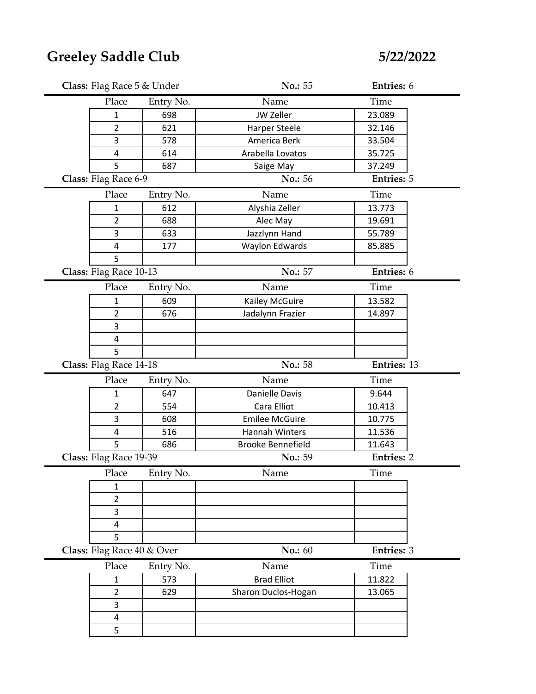| Class: Flag Race 5 & Under |           | No.: 55               | Entries: 6        |  |
|----------------------------|-----------|-----------------------|-------------------|--|
| Place                      | Entry No. | Name                  | Time              |  |
| 1                          | 698       | JW Zeller             | 23.089            |  |
| $\overline{2}$             | 621       | <b>Harper Steele</b>  | 32.146            |  |
| 3                          | 578       | America Berk          | 33.504            |  |
| 4                          | 614       | Arabella Lovatos      | 35.725            |  |
| 5                          | 687       | Saige May             | 37.249            |  |
| Class: Flag Race 6-9       |           | No.: 56               | <b>Entries: 5</b> |  |
| Place                      | Entry No. | Name                  | Time              |  |
| 1                          | 612       | Alyshia Zeller        | 13.773            |  |
| $\overline{2}$             | 688       | Alec May              | 19.691            |  |
| 3                          | 633       | Jazzlynn Hand         | 55.789            |  |
| $\overline{\mathbf{4}}$    | 177       | <b>Waylon Edwards</b> | 85.885            |  |
| 5                          |           |                       |                   |  |
| Class: Flag Race 10-13     |           | No.: 57               | Entries: 6        |  |
| Place                      | Entry No. | Name                  | Time              |  |
| 1                          | 609       | Kailey McGuire        | 13.582            |  |
| $\overline{2}$             | 676       | Jadalynn Frazier      | 14.897            |  |
| 3                          |           |                       |                   |  |
| $\overline{\mathbf{4}}$    |           |                       |                   |  |
| 5                          |           |                       |                   |  |
|                            |           |                       |                   |  |
| Class: Flag Race 14-18     |           | No.: 58               | Entries: 13       |  |
| Place                      | Entry No. | Name                  | Time              |  |
| 1                          | 647       | Danielle Davis        | 9.644             |  |
| $\overline{2}$             | 554       | Cara Elliot           | 10.413            |  |
| 3                          | 608       | <b>Emilee McGuire</b> | 10.775            |  |
| 4                          | 516       | Hannah Winters        | 11.536            |  |
| 5                          | 686       | Brooke Bennefield     | 11.643            |  |
| Class: Flag Race 19-39     |           | No.: 59               | <b>Entries: 2</b> |  |
| Place                      | Entry No. | Name                  | Time              |  |
| 1                          |           |                       |                   |  |
| $\overline{2}$             |           |                       |                   |  |
| 3                          |           |                       |                   |  |
| 4                          |           |                       |                   |  |
| 5                          |           |                       |                   |  |
| Class: Flag Race 40 & Over |           | No.: 60               | Entries: 3        |  |
| Place                      | Entry No. | Name                  | Time              |  |
| $\mathbf 1$                | 573       | <b>Brad Elliot</b>    | 11.822            |  |
| $\overline{2}$             | 629       | Sharon Duclos-Hogan   | 13.065            |  |
| 3                          |           |                       |                   |  |
| $\overline{\mathbf{4}}$    |           |                       |                   |  |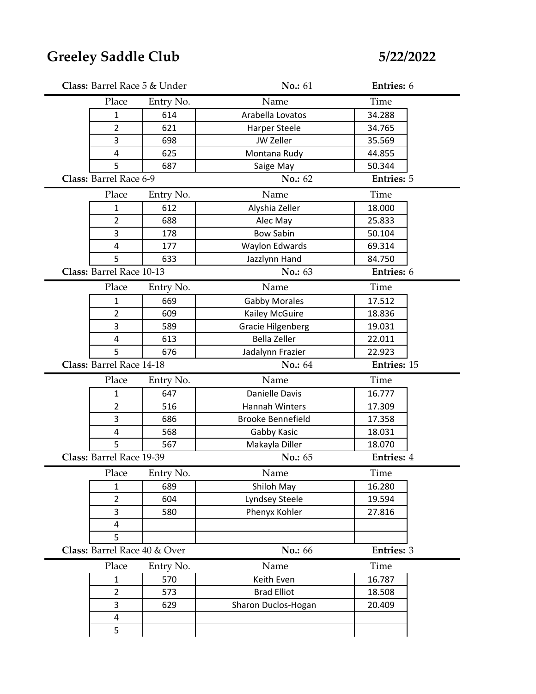| Class: Barrel Race 5 & Under |           | No.: 61                  | Entries: 6        |  |
|------------------------------|-----------|--------------------------|-------------------|--|
| Place                        | Entry No. | Name                     | Time              |  |
| $\mathbf{1}$                 | 614       | Arabella Lovatos         | 34.288            |  |
| $\overline{2}$               | 621       | <b>Harper Steele</b>     | 34.765            |  |
| 3                            | 698       | JW Zeller                | 35.569            |  |
| 4                            | 625       | Montana Rudy             | 44.855            |  |
| 5                            | 687       | Saige May                | 50.344            |  |
| Class: Barrel Race 6-9       |           | No.: 62                  | <b>Entries: 5</b> |  |
| Place                        | Entry No. | Name                     | Time              |  |
| $\mathbf{1}$                 | 612       | Alyshia Zeller           | 18.000            |  |
| $\overline{2}$               | 688       | Alec May                 | 25.833            |  |
| 3                            | 178       | <b>Bow Sabin</b>         | 50.104            |  |
| 4                            | 177       | <b>Waylon Edwards</b>    | 69.314            |  |
| 5                            | 633       | Jazzlynn Hand            | 84.750            |  |
| Class: Barrel Race 10-13     |           | No.: 63                  | Entries: 6        |  |
| Place                        | Entry No. | Name                     | Time              |  |
| $\mathbf{1}$                 | 669       | <b>Gabby Morales</b>     | 17.512            |  |
| $\overline{2}$               | 609       | Kailey McGuire           | 18.836            |  |
| 3                            | 589       | <b>Gracie Hilgenberg</b> | 19.031            |  |
| 4                            | 613       | <b>Bella Zeller</b>      | 22.011            |  |
| 5                            | 676       | Jadalynn Frazier         | 22.923            |  |
| Class: Barrel Race 14-18     |           | No.: 64                  | Entries: 15       |  |
| Place                        | Entry No. | Name                     | Time              |  |
| $\mathbf{1}$                 | 647       | Danielle Davis           | 16.777            |  |
| $\overline{2}$               | 516       | Hannah Winters           | 17.309            |  |
| 3                            | 686       | <b>Brooke Bennefield</b> | 17.358            |  |
| $\overline{\mathbf{4}}$      | 568       | Gabby Kasic              | 18.031            |  |
| 5                            | 567       | Makayla Diller           | 18.070            |  |
| Class: Barrel Race 19-39     |           | <b>No.: 65</b>           | <b>Entries: 4</b> |  |
| Place                        | Entry No. | Name                     | Time              |  |
| 1                            | 689       | Shiloh May               | 16.280            |  |
| $\overline{2}$               | 604       | Lyndsey Steele           | 19.594            |  |
| 3                            | 580       | Phenyx Kohler            | 27.816            |  |
| 4                            |           |                          |                   |  |
|                              |           |                          |                   |  |
| 5                            |           |                          |                   |  |
| Class: Barrel Race 40 & Over |           | No.: 66                  | Entries: 3        |  |
| Place                        | Entry No. | Name                     | Time              |  |
| $\mathbf{1}$                 | 570       | Keith Even               | 16.787            |  |
| $\overline{2}$               | 573       | <b>Brad Elliot</b>       | 18.508            |  |
| 3                            | 629       | Sharon Duclos-Hogan      | 20.409            |  |
| 4<br>5                       |           |                          |                   |  |